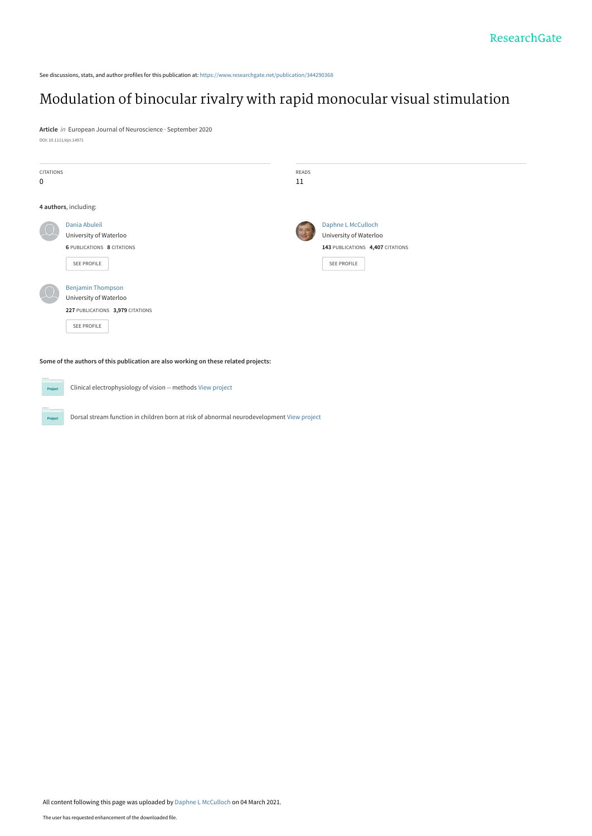See discussions, stats, and author profiles for this publication at: [https://www.researchgate.net/publication/344290368](https://www.researchgate.net/publication/344290368_Modulation_of_binocular_rivalry_with_rapid_monocular_visual_stimulation?enrichId=rgreq-0f77b2a5dece66b1506fa2b7068b16df-XXX&enrichSource=Y292ZXJQYWdlOzM0NDI5MDM2ODtBUzo5OTc3NTEzMjgzNTQzMDVAMTYxNDg5Mzg2MjgyMQ%3D%3D&el=1_x_2&_esc=publicationCoverPdf)

# [Modulation of binocular rivalry with rapid monocular visual stimulation](https://www.researchgate.net/publication/344290368_Modulation_of_binocular_rivalry_with_rapid_monocular_visual_stimulation?enrichId=rgreq-0f77b2a5dece66b1506fa2b7068b16df-XXX&enrichSource=Y292ZXJQYWdlOzM0NDI5MDM2ODtBUzo5OTc3NTEzMjgzNTQzMDVAMTYxNDg5Mzg2MjgyMQ%3D%3D&el=1_x_3&_esc=publicationCoverPdf)

**Article** in European Journal of Neuroscience · September 2020 DOI: 10.1111/ejn.14971

Project

| <b>CITATIONS</b>                                                                    |                                                              | READS |                                  |  |
|-------------------------------------------------------------------------------------|--------------------------------------------------------------|-------|----------------------------------|--|
| $\mathbf 0$                                                                         |                                                              | 11    |                                  |  |
|                                                                                     |                                                              |       |                                  |  |
|                                                                                     | 4 authors, including:                                        |       |                                  |  |
|                                                                                     | Dania Abuleil                                                |       | Daphne L McCulloch               |  |
|                                                                                     | University of Waterloo                                       |       | University of Waterloo           |  |
|                                                                                     | <b>6 PUBLICATIONS 8 CITATIONS</b>                            |       | 143 PUBLICATIONS 4,407 CITATIONS |  |
|                                                                                     | SEE PROFILE                                                  |       | SEE PROFILE                      |  |
|                                                                                     |                                                              |       |                                  |  |
|                                                                                     | <b>Benjamin Thompson</b>                                     |       |                                  |  |
|                                                                                     | University of Waterloo                                       |       |                                  |  |
|                                                                                     | 227 PUBLICATIONS 3,979 CITATIONS                             |       |                                  |  |
|                                                                                     | SEE PROFILE                                                  |       |                                  |  |
|                                                                                     |                                                              |       |                                  |  |
|                                                                                     |                                                              |       |                                  |  |
| Some of the authors of this publication are also working on these related projects: |                                                              |       |                                  |  |
|                                                                                     |                                                              |       |                                  |  |
| Project                                                                             | Clinical electrophysiology of vision -- methods View project |       |                                  |  |

Dorsal stream function in children born at risk of abnormal neurodevelopment [View project](https://www.researchgate.net/project/Dorsal-stream-function-in-children-born-at-risk-of-abnormal-neurodevelopment?enrichId=rgreq-0f77b2a5dece66b1506fa2b7068b16df-XXX&enrichSource=Y292ZXJQYWdlOzM0NDI5MDM2ODtBUzo5OTc3NTEzMjgzNTQzMDVAMTYxNDg5Mzg2MjgyMQ%3D%3D&el=1_x_9&_esc=publicationCoverPdf)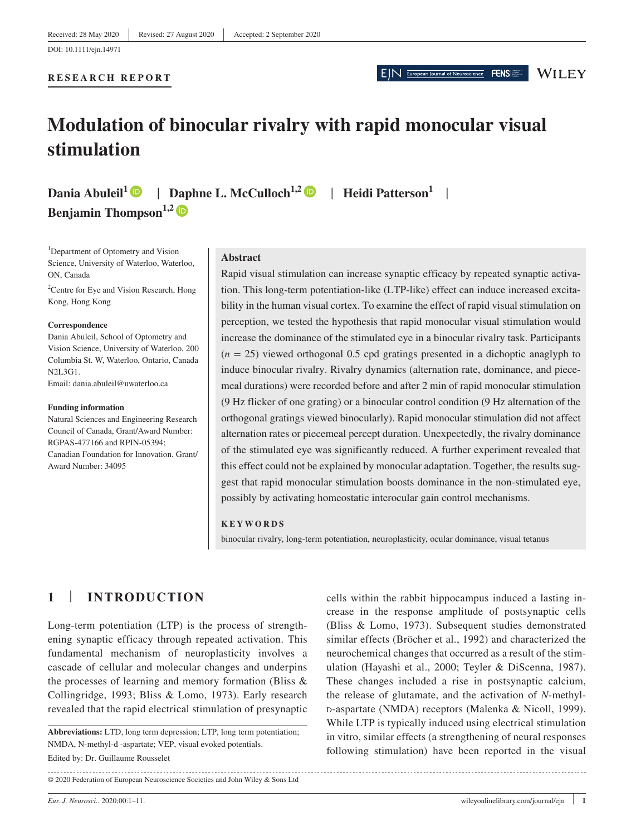**RESEARCH REPORT**

EIN European Journal of Neuroscience FENS

### **WILEY**

# **Modulation of binocular rivalry with rapid monocular visual stimulation**

**Dania Abuleil<sup>1</sup> | Daphne L. McCulloch<sup>1,2</sup> | Heidi Patterson<sup>1</sup> | Benjamin Thompson**<sup>1,2</sup>

<sup>1</sup>Department of Optometry and Vision Science, University of Waterloo, Waterloo, ON, Canada

<sup>2</sup> Centre for Eye and Vision Research, Hong Kong, Hong Kong

#### **Correspondence**

Dania Abuleil, School of Optometry and Vision Science, University of Waterloo, 200 Columbia St. W, Waterloo, Ontario, Canada N2L3G1. Email: [dania.abuleil@uwaterloo.ca](mailto:dania.abuleil@uwaterloo.ca)

#### **Funding information**

Natural Sciences and Engineering Research Council of Canada, Grant/Award Number: RGPAS-477166 and RPIN-05394; Canadian Foundation for Innovation, Grant/ Award Number: 34095

#### **Abstract**

Rapid visual stimulation can increase synaptic efficacy by repeated synaptic activation. This long-term potentiation-like (LTP-like) effect can induce increased excitability in the human visual cortex. To examine the effect of rapid visual stimulation on perception, we tested the hypothesis that rapid monocular visual stimulation would increase the dominance of the stimulated eye in a binocular rivalry task. Participants  $(n = 25)$  viewed orthogonal 0.5 cpd gratings presented in a dichoptic anaglyph to induce binocular rivalry. Rivalry dynamics (alternation rate, dominance, and piecemeal durations) were recorded before and after 2 min of rapid monocular stimulation (9 Hz flicker of one grating) or a binocular control condition (9 Hz alternation of the orthogonal gratings viewed binocularly). Rapid monocular stimulation did not affect alternation rates or piecemeal percept duration. Unexpectedly, the rivalry dominance of the stimulated eye was significantly reduced. A further experiment revealed that this effect could not be explained by monocular adaptation. Together, the results suggest that rapid monocular stimulation boosts dominance in the non-stimulated eye, possibly by activating homeostatic interocular gain control mechanisms.

#### **KEYWORDS**

binocular rivalry, long-term potentiation, neuroplasticity, ocular dominance, visual tetanus

# **1** | **INTRODUCTION**

Long-term potentiation (LTP) is the process of strengthening synaptic efficacy through repeated activation. This fundamental mechanism of neuroplasticity involves a cascade of cellular and molecular changes and underpins the processes of learning and memory formation (Bliss & Collingridge, 1993; Bliss & Lomo, 1973). Early research revealed that the rapid electrical stimulation of presynaptic

Edited by: Dr. Guillaume Rousselet **Abbreviations:** LTD, long term depression; LTP, long term potentiation; NMDA, N-methyl-d -aspartate; VEP, visual evoked potentials.

© 2020 Federation of European Neuroscience Societies and John Wiley & Sons Ltd

cells within the rabbit hippocampus induced a lasting increase in the response amplitude of postsynaptic cells (Bliss & Lomo, 1973). Subsequent studies demonstrated similar effects (Bröcher et al., 1992) and characterized the neurochemical changes that occurred as a result of the stimulation (Hayashi et al., 2000; Teyler & DiScenna, 1987). These changes included a rise in postsynaptic calcium, the release of glutamate, and the activation of *N*-methyl<sup>d</sup>-aspartate (NMDA) receptors (Malenka & Nicoll, 1999). While LTP is typically induced using electrical stimulation in vitro, similar effects (a strengthening of neural responses following stimulation) have been reported in the visual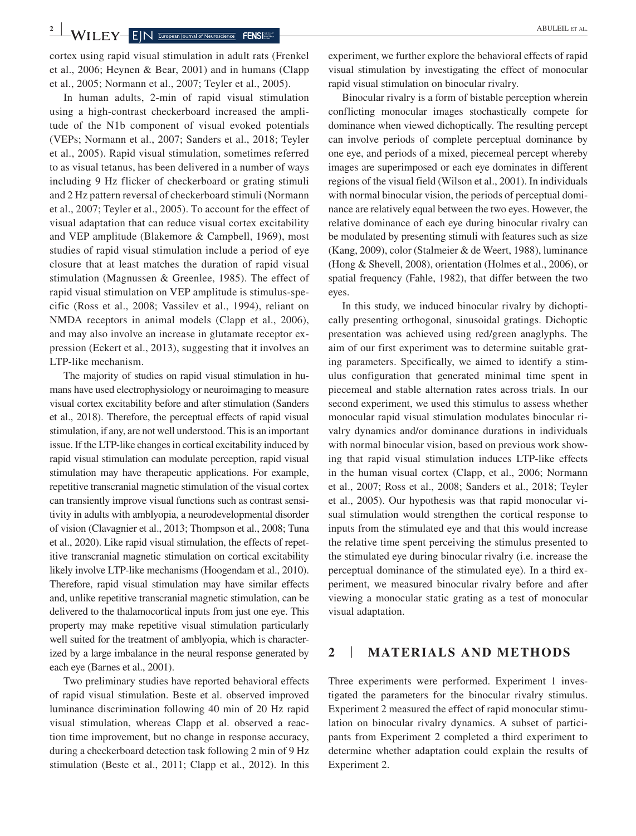cortex using rapid visual stimulation in adult rats (Frenkel et al., 2006; Heynen & Bear, 2001) and in humans (Clapp et al., 2005; Normann et al., 2007; Teyler et al., 2005).

In human adults, 2-min of rapid visual stimulation using a high-contrast checkerboard increased the amplitude of the N1b component of visual evoked potentials (VEPs; Normann et al., 2007; Sanders et al., 2018; Teyler et al., 2005). Rapid visual stimulation, sometimes referred to as visual tetanus, has been delivered in a number of ways including 9 Hz flicker of checkerboard or grating stimuli and 2 Hz pattern reversal of checkerboard stimuli (Normann et al., 2007; Teyler et al., 2005). To account for the effect of visual adaptation that can reduce visual cortex excitability and VEP amplitude (Blakemore & Campbell, 1969), most studies of rapid visual stimulation include a period of eye closure that at least matches the duration of rapid visual stimulation (Magnussen & Greenlee, 1985). The effect of rapid visual stimulation on VEP amplitude is stimulus-specific (Ross et al., 2008; Vassilev et al., 1994), reliant on NMDA receptors in animal models (Clapp et al., 2006), and may also involve an increase in glutamate receptor expression (Eckert et al., 2013), suggesting that it involves an LTP-like mechanism.

The majority of studies on rapid visual stimulation in humans have used electrophysiology or neuroimaging to measure visual cortex excitability before and after stimulation (Sanders et al., 2018). Therefore, the perceptual effects of rapid visual stimulation, if any, are not well understood. This is an important issue. If the LTP-like changes in cortical excitability induced by rapid visual stimulation can modulate perception, rapid visual stimulation may have therapeutic applications. For example, repetitive transcranial magnetic stimulation of the visual cortex can transiently improve visual functions such as contrast sensitivity in adults with amblyopia, a neurodevelopmental disorder of vision (Clavagnier et al., 2013; Thompson et al., 2008; Tuna et al., 2020). Like rapid visual stimulation, the effects of repetitive transcranial magnetic stimulation on cortical excitability likely involve LTP-like mechanisms (Hoogendam et al., 2010). Therefore, rapid visual stimulation may have similar effects and, unlike repetitive transcranial magnetic stimulation, can be delivered to the thalamocortical inputs from just one eye. This property may make repetitive visual stimulation particularly well suited for the treatment of amblyopia, which is characterized by a large imbalance in the neural response generated by each eye (Barnes et al., 2001).

Two preliminary studies have reported behavioral effects of rapid visual stimulation. Beste et al. observed improved luminance discrimination following 40 min of 20 Hz rapid visual stimulation, whereas Clapp et al. observed a reaction time improvement, but no change in response accuracy, during a checkerboard detection task following 2 min of 9 Hz stimulation (Beste et al., 2011; Clapp et al., 2012). In this experiment, we further explore the behavioral effects of rapid visual stimulation by investigating the effect of monocular rapid visual stimulation on binocular rivalry.

Binocular rivalry is a form of bistable perception wherein conflicting monocular images stochastically compete for dominance when viewed dichoptically. The resulting percept can involve periods of complete perceptual dominance by one eye, and periods of a mixed, piecemeal percept whereby images are superimposed or each eye dominates in different regions of the visual field (Wilson et al., 2001). In individuals with normal binocular vision, the periods of perceptual dominance are relatively equal between the two eyes. However, the relative dominance of each eye during binocular rivalry can be modulated by presenting stimuli with features such as size (Kang, 2009), color (Stalmeier & de Weert, 1988), luminance (Hong & Shevell, 2008), orientation (Holmes et al., 2006), or spatial frequency (Fahle, 1982), that differ between the two eyes.

In this study, we induced binocular rivalry by dichoptically presenting orthogonal, sinusoidal gratings. Dichoptic presentation was achieved using red/green anaglyphs. The aim of our first experiment was to determine suitable grating parameters. Specifically, we aimed to identify a stimulus configuration that generated minimal time spent in piecemeal and stable alternation rates across trials. In our second experiment, we used this stimulus to assess whether monocular rapid visual stimulation modulates binocular rivalry dynamics and/or dominance durations in individuals with normal binocular vision, based on previous work showing that rapid visual stimulation induces LTP-like effects in the human visual cortex (Clapp, et al., 2006; Normann et al., 2007; Ross et al., 2008; Sanders et al., 2018; Teyler et al., 2005). Our hypothesis was that rapid monocular visual stimulation would strengthen the cortical response to inputs from the stimulated eye and that this would increase the relative time spent perceiving the stimulus presented to the stimulated eye during binocular rivalry (i.e. increase the perceptual dominance of the stimulated eye). In a third experiment, we measured binocular rivalry before and after viewing a monocular static grating as a test of monocular visual adaptation.

#### **2** | **MATERIALS AND METHODS**

Three experiments were performed. Experiment 1 investigated the parameters for the binocular rivalry stimulus. Experiment 2 measured the effect of rapid monocular stimulation on binocular rivalry dynamics. A subset of participants from Experiment 2 completed a third experiment to determine whether adaptation could explain the results of Experiment 2.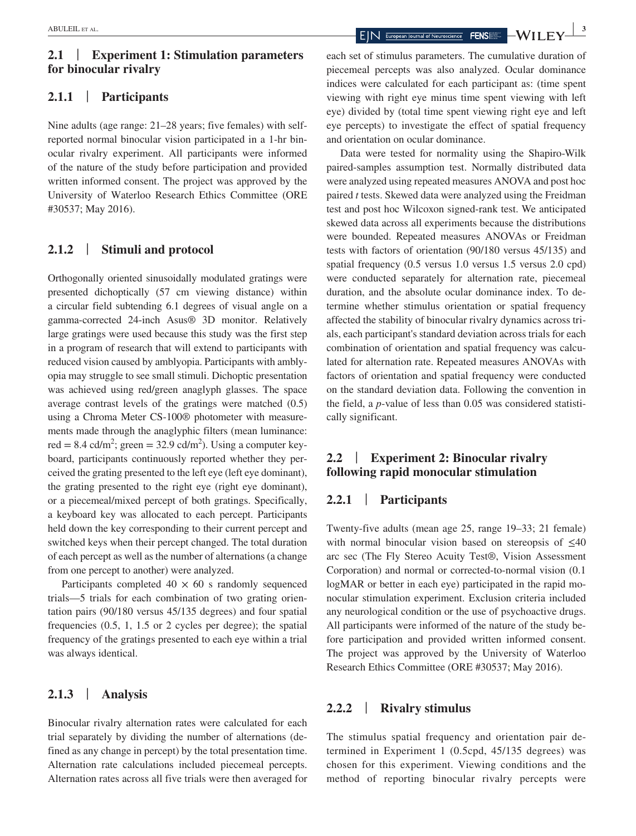# **2.1** | **Experiment 1: Stimulation parameters for binocular rivalry**

## **2.1.1** | **Participants**

Nine adults (age range: 21–28 years; five females) with selfreported normal binocular vision participated in a 1-hr binocular rivalry experiment. All participants were informed of the nature of the study before participation and provided written informed consent. The project was approved by the University of Waterloo Research Ethics Committee (ORE #30537; May 2016).

### **2.1.2** | **Stimuli and protocol**

Orthogonally oriented sinusoidally modulated gratings were presented dichoptically (57 cm viewing distance) within a circular field subtending 6.1 degrees of visual angle on a gamma-corrected 24-inch Asus® 3D monitor. Relatively large gratings were used because this study was the first step in a program of research that will extend to participants with reduced vision caused by amblyopia. Participants with amblyopia may struggle to see small stimuli. Dichoptic presentation was achieved using red/green anaglyph glasses. The space average contrast levels of the gratings were matched (0.5) using a Chroma Meter CS-100® photometer with measurements made through the anaglyphic filters (mean luminance: red =  $8.4 \text{ cd/m}^2$ ; green =  $32.9 \text{ cd/m}^2$ ). Using a computer keyboard, participants continuously reported whether they perceived the grating presented to the left eye (left eye dominant), the grating presented to the right eye (right eye dominant), or a piecemeal/mixed percept of both gratings. Specifically, a keyboard key was allocated to each percept. Participants held down the key corresponding to their current percept and switched keys when their percept changed. The total duration of each percept as well as the number of alternations (a change from one percept to another) were analyzed.

Participants completed  $40 \times 60$  s randomly sequenced trials—5 trials for each combination of two grating orientation pairs (90/180 versus 45/135 degrees) and four spatial frequencies (0.5, 1, 1.5 or 2 cycles per degree); the spatial frequency of the gratings presented to each eye within a trial was always identical.

## **2.1.3** | **Analysis**

Binocular rivalry alternation rates were calculated for each trial separately by dividing the number of alternations (defined as any change in percept) by the total presentation time. Alternation rate calculations included piecemeal percepts. Alternation rates across all five trials were then averaged for

each set of stimulus parameters. The cumulative duration of piecemeal percepts was also analyzed. Ocular dominance indices were calculated for each participant as: (time spent viewing with right eye minus time spent viewing with left eye) divided by (total time spent viewing right eye and left eye percepts) to investigate the effect of spatial frequency and orientation on ocular dominance.

Data were tested for normality using the Shapiro-Wilk paired-samples assumption test. Normally distributed data were analyzed using repeated measures ANOVA and post hoc paired *t* tests. Skewed data were analyzed using the Freidman test and post hoc Wilcoxon signed-rank test. We anticipated skewed data across all experiments because the distributions were bounded. Repeated measures ANOVAs or Freidman tests with factors of orientation (90/180 versus 45/135) and spatial frequency (0.5 versus 1.0 versus 1.5 versus 2.0 cpd) were conducted separately for alternation rate, piecemeal duration, and the absolute ocular dominance index. To determine whether stimulus orientation or spatial frequency affected the stability of binocular rivalry dynamics across trials, each participant's standard deviation across trials for each combination of orientation and spatial frequency was calculated for alternation rate. Repeated measures ANOVAs with factors of orientation and spatial frequency were conducted on the standard deviation data. Following the convention in the field, a *p*-value of less than 0.05 was considered statistically significant.

# **2.2** | **Experiment 2: Binocular rivalry following rapid monocular stimulation**

# **2.2.1** | **Participants**

Twenty-five adults (mean age 25, range 19–33; 21 female) with normal binocular vision based on stereopsis of  $\leq 40$ arc sec (The Fly Stereo Acuity Test®, Vision Assessment Corporation) and normal or corrected-to-normal vision (0.1 logMAR or better in each eye) participated in the rapid monocular stimulation experiment. Exclusion criteria included any neurological condition or the use of psychoactive drugs. All participants were informed of the nature of the study before participation and provided written informed consent. The project was approved by the University of Waterloo Research Ethics Committee (ORE #30537; May 2016).

## **2.2.2** | **Rivalry stimulus**

The stimulus spatial frequency and orientation pair determined in Experiment 1 (0.5cpd, 45/135 degrees) was chosen for this experiment. Viewing conditions and the method of reporting binocular rivalry percepts were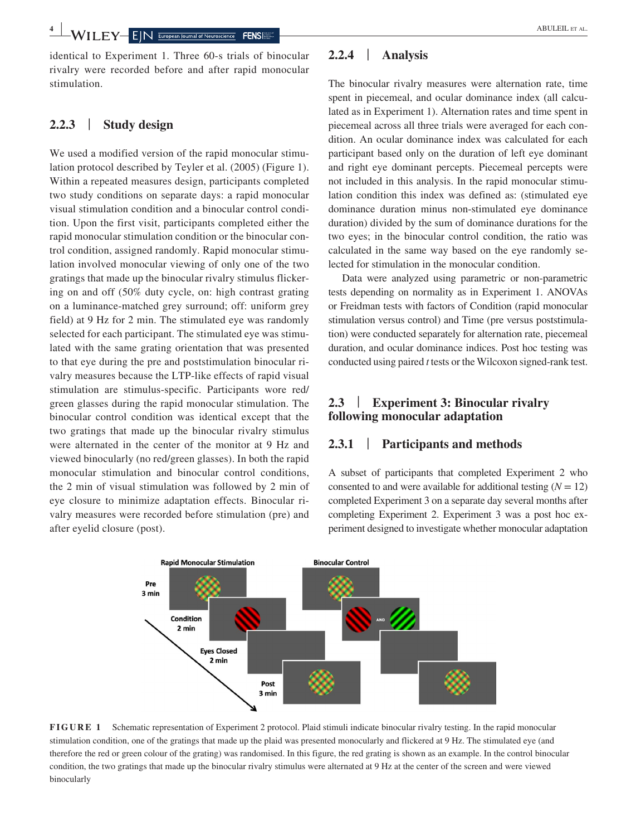**4 WII** FY FIN European Journal of Neuroscience FENS

identical to Experiment 1. Three 60-s trials of binocular rivalry were recorded before and after rapid monocular stimulation.

# **2.2.3** | **Study design**

We used a modified version of the rapid monocular stimulation protocol described by Teyler et al. (2005) (Figure 1). Within a repeated measures design, participants completed two study conditions on separate days: a rapid monocular visual stimulation condition and a binocular control condition. Upon the first visit, participants completed either the rapid monocular stimulation condition or the binocular control condition, assigned randomly. Rapid monocular stimulation involved monocular viewing of only one of the two gratings that made up the binocular rivalry stimulus flickering on and off (50% duty cycle, on: high contrast grating on a luminance-matched grey surround; off: uniform grey field) at 9 Hz for 2 min. The stimulated eye was randomly selected for each participant. The stimulated eye was stimulated with the same grating orientation that was presented to that eye during the pre and poststimulation binocular rivalry measures because the LTP-like effects of rapid visual stimulation are stimulus-specific. Participants wore red/ green glasses during the rapid monocular stimulation. The binocular control condition was identical except that the two gratings that made up the binocular rivalry stimulus were alternated in the center of the monitor at 9 Hz and viewed binocularly (no red/green glasses). In both the rapid monocular stimulation and binocular control conditions, the 2 min of visual stimulation was followed by 2 min of eye closure to minimize adaptation effects. Binocular rivalry measures were recorded before stimulation (pre) and after eyelid closure (post).

# **2.2.4** | **Analysis**

The binocular rivalry measures were alternation rate, time spent in piecemeal, and ocular dominance index (all calculated as in Experiment 1). Alternation rates and time spent in piecemeal across all three trials were averaged for each condition. An ocular dominance index was calculated for each participant based only on the duration of left eye dominant and right eye dominant percepts. Piecemeal percepts were not included in this analysis. In the rapid monocular stimulation condition this index was defined as: (stimulated eye dominance duration minus non-stimulated eye dominance duration) divided by the sum of dominance durations for the two eyes; in the binocular control condition, the ratio was calculated in the same way based on the eye randomly selected for stimulation in the monocular condition.

Data were analyzed using parametric or non-parametric tests depending on normality as in Experiment 1. ANOVAs or Freidman tests with factors of Condition (rapid monocular stimulation versus control) and Time (pre versus poststimulation) were conducted separately for alternation rate, piecemeal duration, and ocular dominance indices. Post hoc testing was conducted using paired *t* tests or the Wilcoxon signed-rank test.

# **2.3** | **Experiment 3: Binocular rivalry following monocular adaptation**

## **2.3.1** | **Participants and methods**

A subset of participants that completed Experiment 2 who consented to and were available for additional testing  $(N = 12)$ completed Experiment 3 on a separate day several months after completing Experiment 2. Experiment 3 was a post hoc experiment designed to investigate whether monocular adaptation



**FIGURE 1** Schematic representation of Experiment 2 protocol. Plaid stimuli indicate binocular rivalry testing. In the rapid monocular stimulation condition, one of the gratings that made up the plaid was presented monocularly and flickered at 9 Hz. The stimulated eye (and therefore the red or green colour of the grating) was randomised. In this figure, the red grating is shown as an example. In the control binocular condition, the two gratings that made up the binocular rivalry stimulus were alternated at 9 Hz at the center of the screen and were viewed binocularly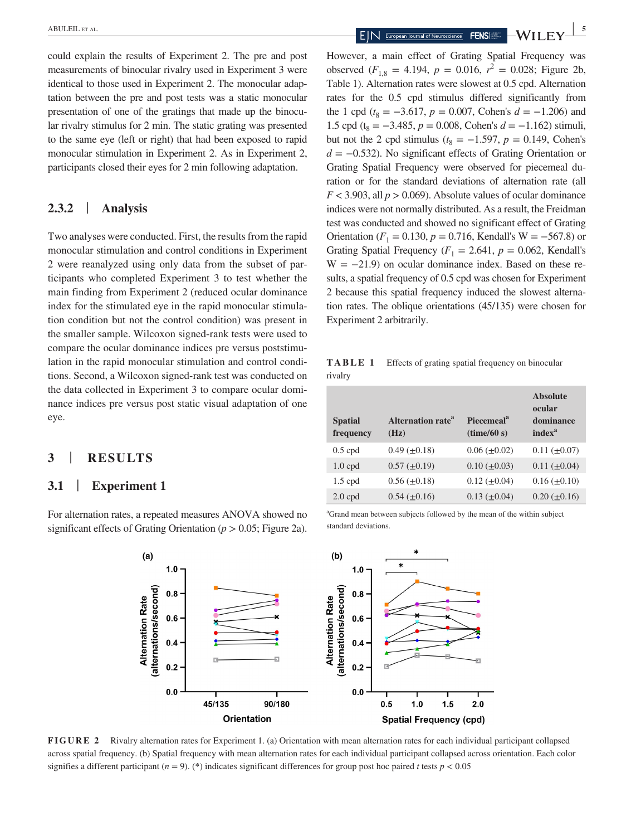could explain the results of Experiment 2. The pre and post measurements of binocular rivalry used in Experiment 3 were identical to those used in Experiment 2. The monocular adaptation between the pre and post tests was a static monocular presentation of one of the gratings that made up the binocular rivalry stimulus for 2 min. The static grating was presented to the same eye (left or right) that had been exposed to rapid monocular stimulation in Experiment 2. As in Experiment 2, participants closed their eyes for 2 min following adaptation.

## **2.3.2** | **Analysis**

Two analyses were conducted. First, the results from the rapid monocular stimulation and control conditions in Experiment 2 were reanalyzed using only data from the subset of participants who completed Experiment 3 to test whether the main finding from Experiment 2 (reduced ocular dominance index for the stimulated eye in the rapid monocular stimulation condition but not the control condition) was present in the smaller sample. Wilcoxon signed-rank tests were used to compare the ocular dominance indices pre versus poststimulation in the rapid monocular stimulation and control conditions. Second, a Wilcoxon signed-rank test was conducted on the data collected in Experiment 3 to compare ocular dominance indices pre versus post static visual adaptation of one eye.

## **3** | **RESULTS**

## **3.1** | **Experiment 1**

For alternation rates, a repeated measures ANOVA showed no significant effects of Grating Orientation (*p* > 0.05; Figure 2a).

However, a main effect of Grating Spatial Frequency was observed  $(F_{1,8} = 4.194, p = 0.016, r^2 = 0.028;$  Figure 2b, Table 1). Alternation rates were slowest at 0.5 cpd. Alternation rates for the 0.5 cpd stimulus differed significantly from the 1 cpd ( $t_8 = -3.617$ ,  $p = 0.007$ , Cohen's  $d = -1.206$ ) and 1.5 cpd (t<sub>8</sub> =  $-3.485$ , *p* = 0.008, Cohen's *d* =  $-1.162$ ) stimuli, but not the 2 cpd stimulus ( $t_8 = -1.597$ ,  $p = 0.149$ , Cohen's *d* = −0.532). No significant effects of Grating Orientation or Grating Spatial Frequency were observed for piecemeal duration or for the standard deviations of alternation rate (all  $F < 3.903$ , all  $p > 0.069$ ). Absolute values of ocular dominance indices were not normally distributed. As a result, the Freidman test was conducted and showed no significant effect of Grating Orientation ( $F_1 = 0.130$ ,  $p = 0.716$ , Kendall's W = −567.8) or Grating Spatial Frequency ( $F_1 = 2.641$ ,  $p = 0.062$ , Kendall's  $W = -21.9$ ) on ocular dominance index. Based on these results, a spatial frequency of 0.5 cpd was chosen for Experiment 2 because this spatial frequency induced the slowest alternation rates. The oblique orientations (45/135) were chosen for Experiment 2 arbitrarily.

**TABLE 1** Effects of grating spatial frequency on binocular rivalry

| <b>Spatial</b><br>frequency | <b>Alternation rate<sup>a</sup></b><br>(Hz) | <b>Piecemeal</b> <sup>a</sup><br>(time/60 s) | <b>Absolute</b><br>ocular<br>dominance<br>index <sup>a</sup> |
|-----------------------------|---------------------------------------------|----------------------------------------------|--------------------------------------------------------------|
| $0.5$ cpd                   | $0.49 \ (\pm 0.18)$                         | $0.06 (\pm 0.02)$                            | $0.11 (\pm 0.07)$                                            |
| $1.0$ cpd                   | $0.57 \ (\pm 0.19)$                         | $0.10 \ (\pm 0.03)$                          | $0.11 (\pm 0.04)$                                            |
| $1.5$ cpd                   | $0.56 \ (\pm 0.18)$                         | $0.12 \ (\pm 0.04)$                          | $0.16 \ (\pm 0.10)$                                          |
| $2.0$ cpd                   | $0.54 \ (\pm 0.16)$                         | $0.13 \ (\pm 0.04)$                          | $0.20~(\pm 0.16)$                                            |

a Grand mean between subjects followed by the mean of the within subject standard deviations.



**FIGURE 2** Rivalry alternation rates for Experiment 1. (a) Orientation with mean alternation rates for each individual participant collapsed across spatial frequency. (b) Spatial frequency with mean alternation rates for each individual participant collapsed across orientation. Each color signifies a different participant ( $n = 9$ ). (\*) indicates significant differences for group post hoc paired *t* tests  $p < 0.05$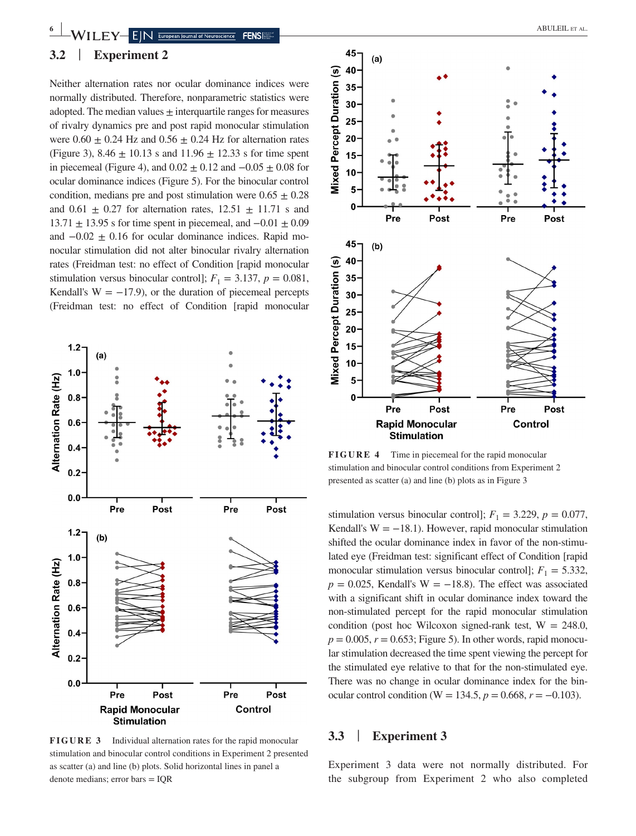

Neither alternation rates nor ocular dominance indices were normally distributed. Therefore, nonparametric statistics were adopted. The median values  $\pm$  interquartile ranges for measures of rivalry dynamics pre and post rapid monocular stimulation were  $0.60 \pm 0.24$  Hz and  $0.56 \pm 0.24$  Hz for alternation rates (Figure 3),  $8.46 \pm 10.13$  s and  $11.96 \pm 12.33$  s for time spent in piecemeal (Figure 4), and  $0.02 \pm 0.12$  and  $-0.05 \pm 0.08$  for ocular dominance indices (Figure 5). For the binocular control condition, medians pre and post stimulation were  $0.65 \pm 0.28$ and  $0.61 \pm 0.27$  for alternation rates,  $12.51 \pm 11.71$  s and  $13.71 \pm 13.95$  s for time spent in piecemeal, and  $-0.01 \pm 0.09$ and  $-0.02 \pm 0.16$  for ocular dominance indices. Rapid monocular stimulation did not alter binocular rivalry alternation rates (Freidman test: no effect of Condition [rapid monocular stimulation versus binocular control];  $F_1 = 3.137$ ,  $p = 0.081$ , Kendall's  $W = -17.9$ ), or the duration of piecemeal percepts (Freidman test: no effect of Condition [rapid monocular



**FIGURE 3** Individual alternation rates for the rapid monocular stimulation and binocular control conditions in Experiment 2 presented as scatter (a) and line (b) plots. Solid horizontal lines in panel a denote medians; error bars = IQR



**FIGURE 4** Time in piecemeal for the rapid monocular stimulation and binocular control conditions from Experiment 2 presented as scatter (a) and line (b) plots as in Figure 3

stimulation versus binocular control];  $F_1 = 3.229$ ,  $p = 0.077$ , Kendall's  $W = -18.1$ ). However, rapid monocular stimulation shifted the ocular dominance index in favor of the non-stimulated eye (Freidman test: significant effect of Condition [rapid monocular stimulation versus binocular control];  $F_1 = 5.332$ ,  $p = 0.025$ , Kendall's W = −18.8). The effect was associated with a significant shift in ocular dominance index toward the non-stimulated percept for the rapid monocular stimulation condition (post hoc Wilcoxon signed-rank test,  $W = 248.0$ ,  $p = 0.005$ ,  $r = 0.653$ ; Figure 5). In other words, rapid monocular stimulation decreased the time spent viewing the percept for the stimulated eye relative to that for the non-stimulated eye. There was no change in ocular dominance index for the binocular control condition (W = 134.5,  $p = 0.668$ ,  $r = -0.103$ ).

### **3.3** | **Experiment 3**

Experiment 3 data were not normally distributed. For the subgroup from Experiment 2 who also completed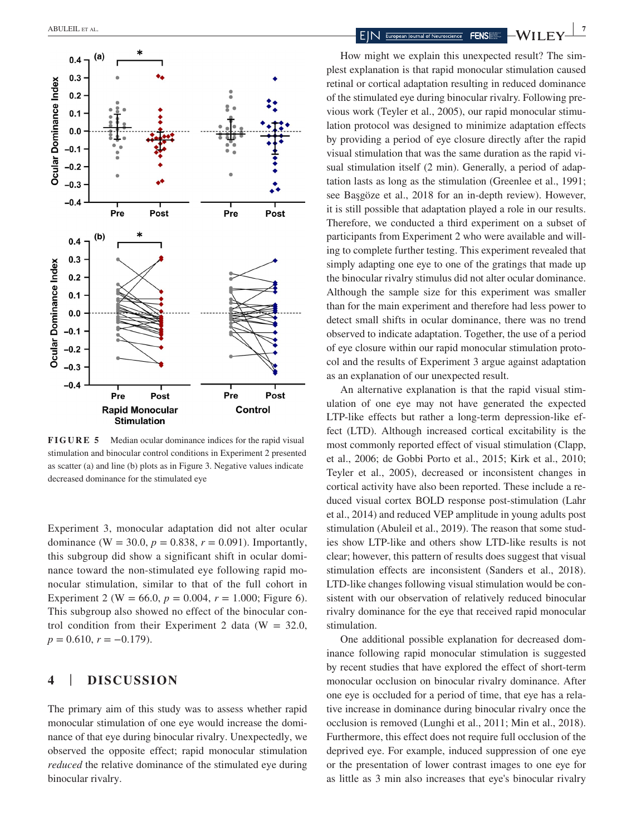

**FIGURE 5** Median ocular dominance indices for the rapid visual stimulation and binocular control conditions in Experiment 2 presented as scatter (a) and line (b) plots as in Figure 3. Negative values indicate decreased dominance for the stimulated eye

Experiment 3, monocular adaptation did not alter ocular dominance (W = 30.0,  $p = 0.838$ ,  $r = 0.091$ ). Importantly, this subgroup did show a significant shift in ocular dominance toward the non-stimulated eye following rapid monocular stimulation, similar to that of the full cohort in Experiment 2 (W = 66.0,  $p = 0.004$ ,  $r = 1.000$ ; Figure 6). This subgroup also showed no effect of the binocular control condition from their Experiment 2 data ( $W = 32.0$ ,  $p = 0.610, r = -0.179$ .

# **4** | **DISCUSSION**

The primary aim of this study was to assess whether rapid monocular stimulation of one eye would increase the dominance of that eye during binocular rivalry. Unexpectedly, we observed the opposite effect; rapid monocular stimulation *reduced* the relative dominance of the stimulated eye during binocular rivalry.

How might we explain this unexpected result? The simplest explanation is that rapid monocular stimulation caused retinal or cortical adaptation resulting in reduced dominance of the stimulated eye during binocular rivalry. Following previous work (Teyler et al., 2005), our rapid monocular stimulation protocol was designed to minimize adaptation effects by providing a period of eye closure directly after the rapid visual stimulation that was the same duration as the rapid visual stimulation itself (2 min). Generally, a period of adaptation lasts as long as the stimulation (Greenlee et al., 1991; see Başgöze et al., 2018 for an in-depth review). However, it is still possible that adaptation played a role in our results. Therefore, we conducted a third experiment on a subset of participants from Experiment 2 who were available and willing to complete further testing. This experiment revealed that simply adapting one eye to one of the gratings that made up the binocular rivalry stimulus did not alter ocular dominance. Although the sample size for this experiment was smaller than for the main experiment and therefore had less power to detect small shifts in ocular dominance, there was no trend observed to indicate adaptation. Together, the use of a period of eye closure within our rapid monocular stimulation protocol and the results of Experiment 3 argue against adaptation as an explanation of our unexpected result.

An alternative explanation is that the rapid visual stimulation of one eye may not have generated the expected LTP-like effects but rather a long-term depression-like effect (LTD). Although increased cortical excitability is the most commonly reported effect of visual stimulation (Clapp, et al., 2006; de Gobbi Porto et al., 2015; Kirk et al., 2010; Teyler et al., 2005), decreased or inconsistent changes in cortical activity have also been reported. These include a reduced visual cortex BOLD response post-stimulation (Lahr et al., 2014) and reduced VEP amplitude in young adults post stimulation (Abuleil et al., 2019). The reason that some studies show LTP-like and others show LTD-like results is not clear; however, this pattern of results does suggest that visual stimulation effects are inconsistent (Sanders et al., 2018). LTD-like changes following visual stimulation would be consistent with our observation of relatively reduced binocular rivalry dominance for the eye that received rapid monocular stimulation.

One additional possible explanation for decreased dominance following rapid monocular stimulation is suggested by recent studies that have explored the effect of short-term monocular occlusion on binocular rivalry dominance. After one eye is occluded for a period of time, that eye has a relative increase in dominance during binocular rivalry once the occlusion is removed (Lunghi et al., 2011; Min et al., 2018). Furthermore, this effect does not require full occlusion of the deprived eye. For example, induced suppression of one eye or the presentation of lower contrast images to one eye for as little as 3 min also increases that eye's binocular rivalry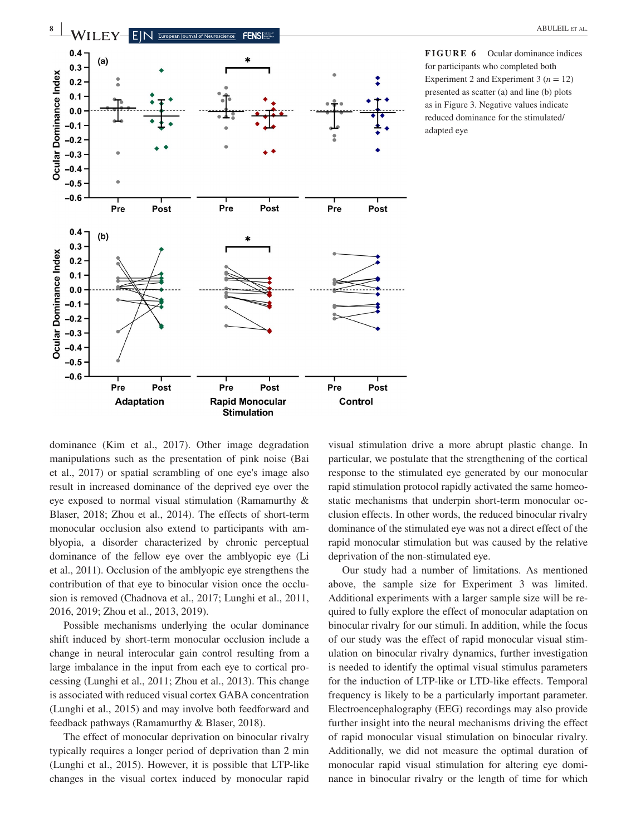

**FIGURE 6** Ocular dominance indices for participants who completed both Experiment 2 and Experiment 3  $(n = 12)$ presented as scatter (a) and line (b) plots as in Figure 3. Negative values indicate reduced dominance for the stimulated/ adapted eye

dominance (Kim et al., 2017). Other image degradation manipulations such as the presentation of pink noise (Bai et al., 2017) or spatial scrambling of one eye's image also result in increased dominance of the deprived eye over the eye exposed to normal visual stimulation (Ramamurthy & Blaser, 2018; Zhou et al., 2014). The effects of short-term monocular occlusion also extend to participants with amblyopia, a disorder characterized by chronic perceptual dominance of the fellow eye over the amblyopic eye (Li et al., 2011). Occlusion of the amblyopic eye strengthens the contribution of that eye to binocular vision once the occlusion is removed (Chadnova et al., 2017; Lunghi et al., 2011, 2016, 2019; Zhou et al., 2013, 2019).

Possible mechanisms underlying the ocular dominance shift induced by short-term monocular occlusion include a change in neural interocular gain control resulting from a large imbalance in the input from each eye to cortical processing (Lunghi et al., 2011; Zhou et al., 2013). This change is associated with reduced visual cortex GABA concentration (Lunghi et al., 2015) and may involve both feedforward and feedback pathways (Ramamurthy & Blaser, 2018).

The effect of monocular deprivation on binocular rivalry typically requires a longer period of deprivation than 2 min (Lunghi et al., 2015). However, it is possible that LTP-like changes in the visual cortex induced by monocular rapid

visual stimulation drive a more abrupt plastic change. In particular, we postulate that the strengthening of the cortical response to the stimulated eye generated by our monocular rapid stimulation protocol rapidly activated the same homeostatic mechanisms that underpin short-term monocular occlusion effects. In other words, the reduced binocular rivalry dominance of the stimulated eye was not a direct effect of the rapid monocular stimulation but was caused by the relative deprivation of the non-stimulated eye.

Our study had a number of limitations. As mentioned above, the sample size for Experiment 3 was limited. Additional experiments with a larger sample size will be required to fully explore the effect of monocular adaptation on binocular rivalry for our stimuli. In addition, while the focus of our study was the effect of rapid monocular visual stimulation on binocular rivalry dynamics, further investigation is needed to identify the optimal visual stimulus parameters for the induction of LTP-like or LTD-like effects. Temporal frequency is likely to be a particularly important parameter. Electroencephalography (EEG) recordings may also provide further insight into the neural mechanisms driving the effect of rapid monocular visual stimulation on binocular rivalry. Additionally, we did not measure the optimal duration of monocular rapid visual stimulation for altering eye dominance in binocular rivalry or the length of time for which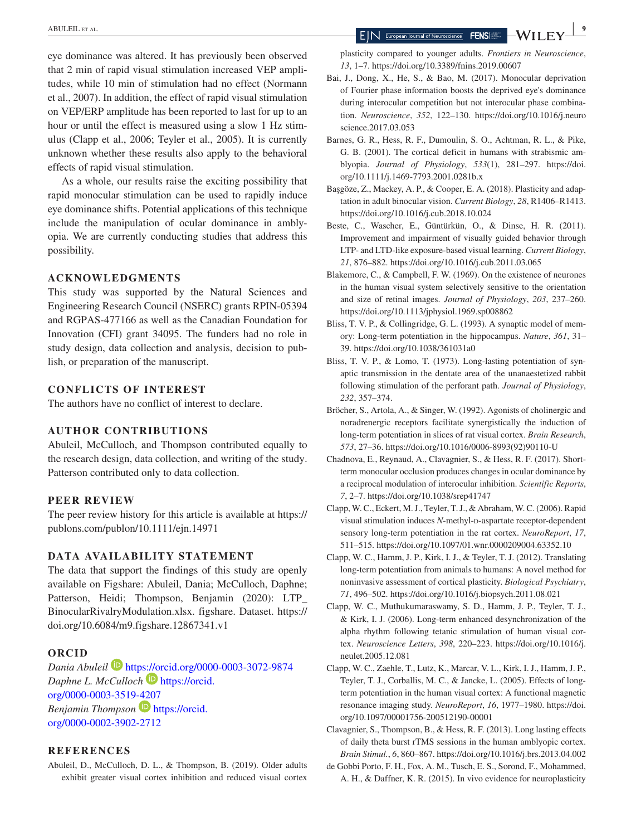eye dominance was altered. It has previously been observed that 2 min of rapid visual stimulation increased VEP amplitudes, while 10 min of stimulation had no effect (Normann et al., 2007). In addition, the effect of rapid visual stimulation on VEP/ERP amplitude has been reported to last for up to an hour or until the effect is measured using a slow 1 Hz stimulus (Clapp et al., 2006; Teyler et al., 2005). It is currently unknown whether these results also apply to the behavioral effects of rapid visual stimulation.

As a whole, our results raise the exciting possibility that rapid monocular stimulation can be used to rapidly induce eye dominance shifts. Potential applications of this technique include the manipulation of ocular dominance in amblyopia. We are currently conducting studies that address this possibility.

#### **ACKNOWLEDGMENTS**

This study was supported by the Natural Sciences and Engineering Research Council (NSERC) grants RPIN-05394 and RGPAS-477166 as well as the Canadian Foundation for Innovation (CFI) grant 34095. The funders had no role in study design, data collection and analysis, decision to publish, or preparation of the manuscript.

#### **CONFLICTS OF INTEREST**

The authors have no conflict of interest to declare.

#### **AUTHOR CONTRIBUTIONS**

Abuleil, McCulloch, and Thompson contributed equally to the research design, data collection, and writing of the study. Patterson contributed only to data collection.

#### **PEER REVIEW**

The peer review history for this article is available at [https://](https://publons.com/publon/10.1111/ejn.14971) [publons.com/publon/10.1111/ejn.14971](https://publons.com/publon/10.1111/ejn.14971)

#### **DATA AVAILABILITY STATEMENT**

The data that support the findings of this study are openly available on Figshare: Abuleil, Dania; McCulloch, Daphne; Patterson, Heidi; Thompson, Benjamin (2020): LTP\_ BinocularRivalryModulation.xlsx. figshare. Dataset. [https://](https://doi.org/10.6084/m9.figshare.12867341.v1) [doi.org/10.6084/m9.figshare.12867341.v1](https://doi.org/10.6084/m9.figshare.12867341.v1)

### **ORCID**

*Dania Abuleil* <https://orcid.org/0000-0003-3072-9874> *Daphne L. McCulloch* [https://orcid.](https://orcid.org/0000-0003-3519-4207) [org/0000-0003-3519-4207](https://orcid.org/0000-0003-3519-4207) *Benjamin Thompson* **D** [https://orcid.](https://orcid.org/0000-0002-3902-2712) [org/0000-0002-3902-2712](https://orcid.org/0000-0002-3902-2712)

#### **REFERENCES**

Abuleil, D., McCulloch, D. L., & Thompson, B. (2019). Older adults exhibit greater visual cortex inhibition and reduced visual cortex

plasticity compared to younger adults. *Frontiers in Neuroscience*, *13*, 1–7. <https://doi.org/10.3389/fnins.2019.00607>

- Bai, J., Dong, X., He, S., & Bao, M. (2017). Monocular deprivation of Fourier phase information boosts the deprived eye's dominance during interocular competition but not interocular phase combination. *Neuroscience*, *352*, 122–130. [https://doi.org/10.1016/j.neuro](https://doi.org/10.1016/j.neuroscience.2017.03.053) [science.2017.03.053](https://doi.org/10.1016/j.neuroscience.2017.03.053)
- Barnes, G. R., Hess, R. F., Dumoulin, S. O., Achtman, R. L., & Pike, G. B. (2001). The cortical deficit in humans with strabismic amblyopia. *Journal of Physiology*, *533*(1), 281–297. [https://doi.](https://doi.org/10.1111/j.1469-7793.2001.0281b.x) [org/10.1111/j.1469-7793.2001.0281b.x](https://doi.org/10.1111/j.1469-7793.2001.0281b.x)
- Başgöze, Z., Mackey, A. P., & Cooper, E. A. (2018). Plasticity and adaptation in adult binocular vision. *Current Biology*, *28*, R1406–R1413. <https://doi.org/10.1016/j.cub.2018.10.024>
- Beste, C., Wascher, E., Güntürkün, O., & Dinse, H. R. (2011). Improvement and impairment of visually guided behavior through LTP- and LTD-like exposure-based visual learning. *Current Biology*, *21*, 876–882. <https://doi.org/10.1016/j.cub.2011.03.065>
- Blakemore, C., & Campbell, F. W. (1969). On the existence of neurones in the human visual system selectively sensitive to the orientation and size of retinal images. *Journal of Physiology*, *203*, 237–260. <https://doi.org/10.1113/jphysiol.1969.sp008862>
- Bliss, T. V. P., & Collingridge, G. L. (1993). A synaptic model of memory: Long-term potentiation in the hippocampus. *Nature*, *361*, 31– 39. <https://doi.org/10.1038/361031a0>
- Bliss, T. V. P., & Lomo, T. (1973). Long-lasting potentiation of synaptic transmission in the dentate area of the unanaestetized rabbit following stimulation of the perforant path. *Journal of Physiology*, *232*, 357–374.
- Bröcher, S., Artola, A., & Singer, W. (1992). Agonists of cholinergic and noradrenergic receptors facilitate synergistically the induction of long-term potentiation in slices of rat visual cortex. *Brain Research*, *573*, 27–36. [https://doi.org/10.1016/0006-8993\(92\)90110-U](https://doi.org/10.1016/0006-8993(92)90110-U)
- Chadnova, E., Reynaud, A., Clavagnier, S., & Hess, R. F. (2017). Shortterm monocular occlusion produces changes in ocular dominance by a reciprocal modulation of interocular inhibition. *Scientific Reports*, *7*, 2–7.<https://doi.org/10.1038/srep41747>
- Clapp, W. C., Eckert, M. J., Teyler, T. J., & Abraham, W. C. (2006). Rapid visual stimulation induces *N*-methyl-D-aspartate receptor-dependent sensory long-term potentiation in the rat cortex. *NeuroReport*, *17*, 511–515. <https://doi.org/10.1097/01.wnr.0000209004.63352.10>
- Clapp, W. C., Hamm, J. P., Kirk, I. J., & Teyler, T. J. (2012). Translating long-term potentiation from animals to humans: A novel method for noninvasive assessment of cortical plasticity. *Biological Psychiatry*, *71*, 496–502. <https://doi.org/10.1016/j.biopsych.2011.08.021>
- Clapp, W. C., Muthukumaraswamy, S. D., Hamm, J. P., Teyler, T. J., & Kirk, I. J. (2006). Long-term enhanced desynchronization of the alpha rhythm following tetanic stimulation of human visual cortex. *Neuroscience Letters*, *398*, 220–223. [https://doi.org/10.1016/j.](https://doi.org/10.1016/j.neulet.2005.12.081) [neulet.2005.12.081](https://doi.org/10.1016/j.neulet.2005.12.081)
- Clapp, W. C., Zaehle, T., Lutz, K., Marcar, V. L., Kirk, I. J., Hamm, J. P., Teyler, T. J., Corballis, M. C., & Jancke, L. (2005). Effects of longterm potentiation in the human visual cortex: A functional magnetic resonance imaging study. *NeuroReport*, *16*, 1977–1980. [https://doi.](https://doi.org/10.1097/00001756-200512190-00001) [org/10.1097/00001756-200512190-00001](https://doi.org/10.1097/00001756-200512190-00001)

Clavagnier, S., Thompson, B., & Hess, R. F. (2013). Long lasting effects of daily theta burst rTMS sessions in the human amblyopic cortex. *Brain Stimul.*, *6*, 860–867.<https://doi.org/10.1016/j.brs.2013.04.002>

de Gobbi Porto, F. H., Fox, A. M., Tusch, E. S., Sorond, F., Mohammed, A. H., & Daffner, K. R. (2015). In vivo evidence for neuroplasticity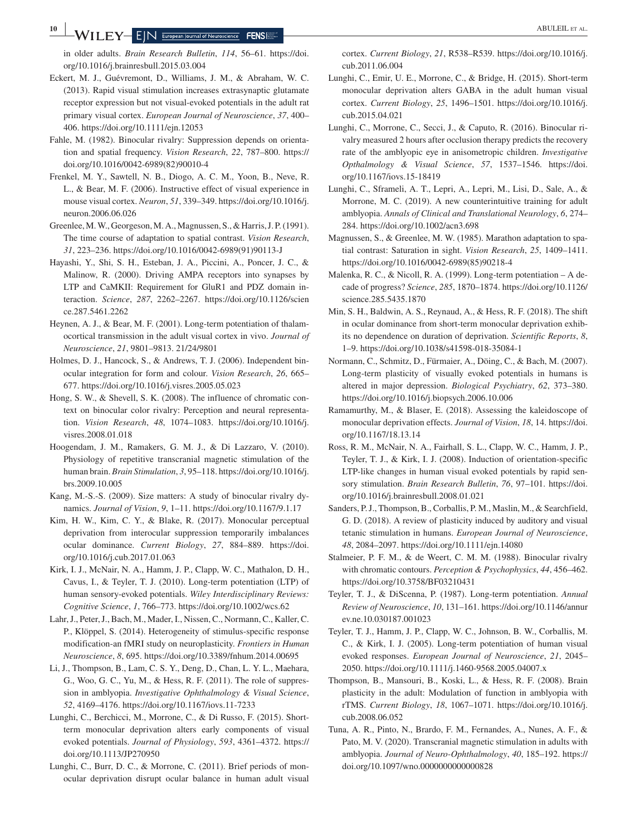in older adults. *Brain Research Bulletin*, *114*, 56–61. [https://doi.](https://doi.org/10.1016/j.brainresbull.2015.03.004) [org/10.1016/j.brainresbull.2015.03.004](https://doi.org/10.1016/j.brainresbull.2015.03.004)

- Eckert, M. J., Guévremont, D., Williams, J. M., & Abraham, W. C. (2013). Rapid visual stimulation increases extrasynaptic glutamate receptor expression but not visual-evoked potentials in the adult rat primary visual cortex. *European Journal of Neuroscience*, *37*, 400– 406.<https://doi.org/10.1111/ejn.12053>
- Fahle, M. (1982). Binocular rivalry: Suppression depends on orientation and spatial frequency. *Vision Research*, *22*, 787–800. [https://](https://doi.org/10.1016/0042-6989(82)90010-4) [doi.org/10.1016/0042-6989\(82\)90010-4](https://doi.org/10.1016/0042-6989(82)90010-4)
- Frenkel, M. Y., Sawtell, N. B., Diogo, A. C. M., Yoon, B., Neve, R. L., & Bear, M. F. (2006). Instructive effect of visual experience in mouse visual cortex. *Neuron*, *51*, 339–349. [https://doi.org/10.1016/j.](https://doi.org/10.1016/j.neuron.2006.06.026) [neuron.2006.06.026](https://doi.org/10.1016/j.neuron.2006.06.026)
- Greenlee, M. W., Georgeson, M. A., Magnussen, S., & Harris, J. P. (1991). The time course of adaptation to spatial contrast. *Vision Research*, *31*, 223–236. [https://doi.org/10.1016/0042-6989\(91\)90113-J](https://doi.org/10.1016/0042-6989(91)90113-J)
- Hayashi, Y., Shi, S. H., Esteban, J. A., Piccini, A., Poncer, J. C., & Malinow, R. (2000). Driving AMPA receptors into synapses by LTP and CaMKII: Requirement for GluR1 and PDZ domain interaction. *Science*, *287*, 2262–2267. [https://doi.org/10.1126/scien](https://doi.org/10.1126/science.287.5461.2262) [ce.287.5461.2262](https://doi.org/10.1126/science.287.5461.2262)
- Heynen, A. J., & Bear, M. F. (2001). Long-term potentiation of thalamocortical transmission in the adult visual cortex in vivo. *Journal of Neuroscience*, *21*, 9801–9813. <21/24/9801>
- Holmes, D. J., Hancock, S., & Andrews, T. J. (2006). Independent binocular integration for form and colour. *Vision Research*, *26*, 665– 677.<https://doi.org/10.1016/j.visres.2005.05.023>
- Hong, S. W., & Shevell, S. K. (2008). The influence of chromatic context on binocular color rivalry: Perception and neural representation. *Vision Research*, *48*, 1074–1083. [https://doi.org/10.1016/j.](https://doi.org/10.1016/j.visres.2008.01.018) [visres.2008.01.018](https://doi.org/10.1016/j.visres.2008.01.018)
- Hoogendam, J. M., Ramakers, G. M. J., & Di Lazzaro, V. (2010). Physiology of repetitive transcranial magnetic stimulation of the human brain. *Brain Stimulation*, *3*, 95–118. [https://doi.org/10.1016/j.](https://doi.org/10.1016/j.brs.2009.10.005) [brs.2009.10.005](https://doi.org/10.1016/j.brs.2009.10.005)
- Kang, M.-S.-S. (2009). Size matters: A study of binocular rivalry dynamics. *Journal of Vision*, *9*, 1–11. <https://doi.org/10.1167/9.1.17>
- Kim, H. W., Kim, C. Y., & Blake, R. (2017). Monocular perceptual deprivation from interocular suppression temporarily imbalances ocular dominance. *Current Biology*, *27*, 884–889. [https://doi.](https://doi.org/10.1016/j.cub.2017.01.063) [org/10.1016/j.cub.2017.01.063](https://doi.org/10.1016/j.cub.2017.01.063)
- Kirk, I. J., McNair, N. A., Hamm, J. P., Clapp, W. C., Mathalon, D. H., Cavus, I., & Teyler, T. J. (2010). Long-term potentiation (LTP) of human sensory-evoked potentials. *Wiley Interdisciplinary Reviews: Cognitive Science*, *1*, 766–773.<https://doi.org/10.1002/wcs.62>
- Lahr, J., Peter, J., Bach, M., Mader, I., Nissen, C., Normann, C., Kaller, C. P., Klöppel, S. (2014). Heterogeneity of stimulus-specific response modification-an fMRI study on neuroplasticity. *Frontiers in Human Neuroscience*, *8*, 695.<https://doi.org/10.3389/fnhum.2014.00695>
- Li, J., Thompson, B., Lam, C. S. Y., Deng, D., Chan, L. Y. L., Maehara, G., Woo, G. C., Yu, M., & Hess, R. F. (2011). The role of suppression in amblyopia. *Investigative Ophthalmology & Visual Science*, *52*, 4169–4176. <https://doi.org/10.1167/iovs.11-7233>
- Lunghi, C., Berchicci, M., Morrone, C., & Di Russo, F. (2015). Shortterm monocular deprivation alters early components of visual evoked potentials. *Journal of Physiology*, *593*, 4361–4372. [https://](https://doi.org/10.1113/JP270950) [doi.org/10.1113/JP270950](https://doi.org/10.1113/JP270950)
- Lunghi, C., Burr, D. C., & Morrone, C. (2011). Brief periods of monocular deprivation disrupt ocular balance in human adult visual

cortex. *Current Biology*, *21*, R538–R539. [https://doi.org/10.1016/j.](https://doi.org/10.1016/j.cub.2011.06.004) [cub.2011.06.004](https://doi.org/10.1016/j.cub.2011.06.004)

- Lunghi, C., Emir, U. E., Morrone, C., & Bridge, H. (2015). Short-term monocular deprivation alters GABA in the adult human visual cortex. *Current Biology*, *25*, 1496–1501. [https://doi.org/10.1016/j.](https://doi.org/10.1016/j.cub.2015.04.021) [cub.2015.04.021](https://doi.org/10.1016/j.cub.2015.04.021)
- Lunghi, C., Morrone, C., Secci, J., & Caputo, R. (2016). Binocular rivalry measured 2 hours after occlusion therapy predicts the recovery rate of the amblyopic eye in anisometropic children. *Investigative Opthalmology & Visual Science*, *57*, 1537–1546. [https://doi.](https://doi.org/10.1167/iovs.15-18419) [org/10.1167/iovs.15-18419](https://doi.org/10.1167/iovs.15-18419)
- Lunghi, C., Sframeli, A. T., Lepri, A., Lepri, M., Lisi, D., Sale, A., & Morrone, M. C. (2019). A new counterintuitive training for adult amblyopia. *Annals of Clinical and Translational Neurology*, *6*, 274– 284.<https://doi.org/10.1002/acn3.698>
- Magnussen, S., & Greenlee, M. W. (1985). Marathon adaptation to spatial contrast: Saturation in sight. *Vision Research*, *25*, 1409–1411. [https://doi.org/10.1016/0042-6989\(85\)90218-4](https://doi.org/10.1016/0042-6989(85)90218-4)
- Malenka, R. C., & Nicoll, R. A. (1999). Long-term potentiation A decade of progress? *Science*, *285*, 1870–1874. [https://doi.org/10.1126/](https://doi.org/10.1126/science.285.5435.1870) [science.285.5435.1870](https://doi.org/10.1126/science.285.5435.1870)
- Min, S. H., Baldwin, A. S., Reynaud, A., & Hess, R. F. (2018). The shift in ocular dominance from short-term monocular deprivation exhibits no dependence on duration of deprivation. *Scientific Reports*, *8*, 1–9.<https://doi.org/10.1038/s41598-018-35084-1>
- Normann, C., Schmitz, D., Fürmaier, A., Döing, C., & Bach, M. (2007). Long-term plasticity of visually evoked potentials in humans is altered in major depression. *Biological Psychiatry*, *62*, 373–380. <https://doi.org/10.1016/j.biopsych.2006.10.006>
- Ramamurthy, M., & Blaser, E. (2018). Assessing the kaleidoscope of monocular deprivation effects. *Journal of Vision*, *18*, 14. [https://doi.](https://doi.org/10.1167/18.13.14) [org/10.1167/18.13.14](https://doi.org/10.1167/18.13.14)
- Ross, R. M., McNair, N. A., Fairhall, S. L., Clapp, W. C., Hamm, J. P., Teyler, T. J., & Kirk, I. J. (2008). Induction of orientation-specific LTP-like changes in human visual evoked potentials by rapid sensory stimulation. *Brain Research Bulletin*, *76*, 97–101. [https://doi.](https://doi.org/10.1016/j.brainresbull.2008.01.021) [org/10.1016/j.brainresbull.2008.01.021](https://doi.org/10.1016/j.brainresbull.2008.01.021)
- Sanders, P. J., Thompson, B., Corballis, P. M., Maslin, M., & Searchfield, G. D. (2018). A review of plasticity induced by auditory and visual tetanic stimulation in humans. *European Journal of Neuroscience*, *48*, 2084–2097. <https://doi.org/10.1111/ejn.14080>
- Stalmeier, P. F. M., & de Weert, C. M. M. (1988). Binocular rivalry with chromatic contours. *Perception & Psychophysics*, *44*, 456–462. <https://doi.org/10.3758/BF03210431>
- Teyler, T. J., & DiScenna, P. (1987). Long-term potentiation. *Annual Review of Neuroscience*, *10*, 131–161. [https://doi.org/10.1146/annur](https://doi.org/10.1146/annurev.ne.10.030187.001023) [ev.ne.10.030187.001023](https://doi.org/10.1146/annurev.ne.10.030187.001023)
- Teyler, T. J., Hamm, J. P., Clapp, W. C., Johnson, B. W., Corballis, M. C., & Kirk, I. J. (2005). Long-term potentiation of human visual evoked responses. *European Journal of Neuroscience*, *21*, 2045– 2050. <https://doi.org/10.1111/j.1460-9568.2005.04007.x>
- Thompson, B., Mansouri, B., Koski, L., & Hess, R. F. (2008). Brain plasticity in the adult: Modulation of function in amblyopia with rTMS. *Current Biology*, *18*, 1067–1071. [https://doi.org/10.1016/j.](https://doi.org/10.1016/j.cub.2008.06.052) [cub.2008.06.052](https://doi.org/10.1016/j.cub.2008.06.052)
- Tuna, A. R., Pinto, N., Brardo, F. M., Fernandes, A., Nunes, A. F., & Pato, M. V. (2020). Transcranial magnetic stimulation in adults with amblyopia. *Journal of Neuro-Ophthalmology*, *40*, 185–192. [https://](https://doi.org/10.1097/wno.0000000000000828) [doi.org/10.1097/wno.0000000000000828](https://doi.org/10.1097/wno.0000000000000828)